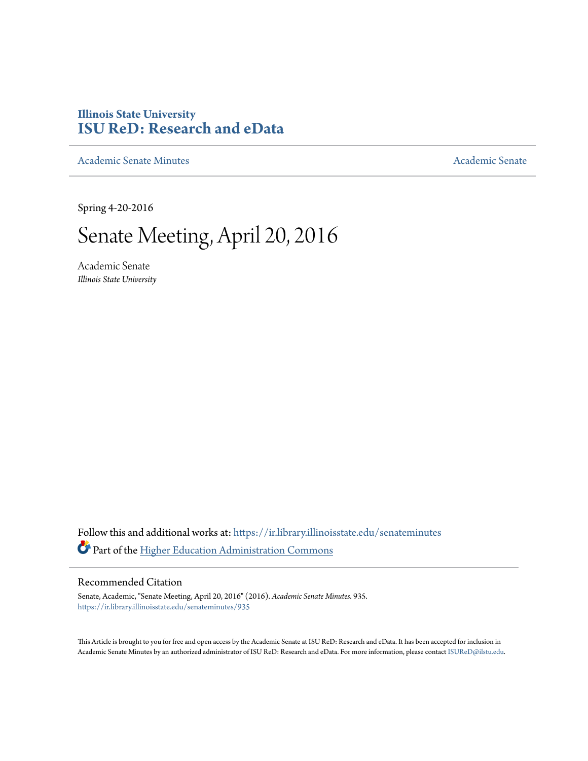## **Illinois State University [ISU ReD: Research and eData](https://ir.library.illinoisstate.edu?utm_source=ir.library.illinoisstate.edu%2Fsenateminutes%2F935&utm_medium=PDF&utm_campaign=PDFCoverPages)**

[Academic Senate Minutes](https://ir.library.illinoisstate.edu/senateminutes?utm_source=ir.library.illinoisstate.edu%2Fsenateminutes%2F935&utm_medium=PDF&utm_campaign=PDFCoverPages) [Academic Senate](https://ir.library.illinoisstate.edu/senate?utm_source=ir.library.illinoisstate.edu%2Fsenateminutes%2F935&utm_medium=PDF&utm_campaign=PDFCoverPages) Academic Senate

Spring 4-20-2016

# Senate Meeting, April 20, 2016

Academic Senate *Illinois State University*

Follow this and additional works at: [https://ir.library.illinoisstate.edu/senateminutes](https://ir.library.illinoisstate.edu/senateminutes?utm_source=ir.library.illinoisstate.edu%2Fsenateminutes%2F935&utm_medium=PDF&utm_campaign=PDFCoverPages) Part of the [Higher Education Administration Commons](http://network.bepress.com/hgg/discipline/791?utm_source=ir.library.illinoisstate.edu%2Fsenateminutes%2F935&utm_medium=PDF&utm_campaign=PDFCoverPages)

#### Recommended Citation

Senate, Academic, "Senate Meeting, April 20, 2016" (2016). *Academic Senate Minutes*. 935. [https://ir.library.illinoisstate.edu/senateminutes/935](https://ir.library.illinoisstate.edu/senateminutes/935?utm_source=ir.library.illinoisstate.edu%2Fsenateminutes%2F935&utm_medium=PDF&utm_campaign=PDFCoverPages)

This Article is brought to you for free and open access by the Academic Senate at ISU ReD: Research and eData. It has been accepted for inclusion in Academic Senate Minutes by an authorized administrator of ISU ReD: Research and eData. For more information, please contact [ISUReD@ilstu.edu.](mailto:ISUReD@ilstu.edu)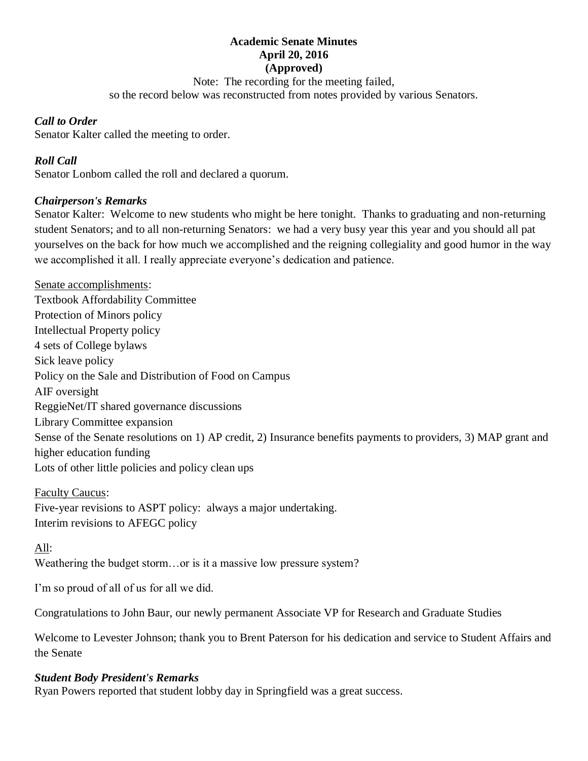#### **Academic Senate Minutes April 20, 2016 (Approved)**

Note: The recording for the meeting failed,

so the record below was reconstructed from notes provided by various Senators.

#### *Call to Order*

Senator Kalter called the meeting to order.

### *Roll Call*

Senator Lonbom called the roll and declared a quorum.

#### *Chairperson's Remarks*

Senator Kalter: Welcome to new students who might be here tonight. Thanks to graduating and non-returning student Senators; and to all non-returning Senators: we had a very busy year this year and you should all pat yourselves on the back for how much we accomplished and the reigning collegiality and good humor in the way we accomplished it all. I really appreciate everyone's dedication and patience.

Senate accomplishments: Textbook Affordability Committee Protection of Minors policy Intellectual Property policy 4 sets of College bylaws Sick leave policy Policy on the Sale and Distribution of Food on Campus AIF oversight ReggieNet/IT shared governance discussions Library Committee expansion Sense of the Senate resolutions on 1) AP credit, 2) Insurance benefits payments to providers, 3) MAP grant and higher education funding Lots of other little policies and policy clean ups

Faculty Caucus: Five-year revisions to ASPT policy: always a major undertaking. Interim revisions to AFEGC policy

#### All:

Weathering the budget storm…or is it a massive low pressure system?

I'm so proud of all of us for all we did.

Congratulations to John Baur, our newly permanent Associate VP for Research and Graduate Studies

Welcome to Levester Johnson; thank you to Brent Paterson for his dedication and service to Student Affairs and the Senate

#### *Student Body President's Remarks*

Ryan Powers reported that student lobby day in Springfield was a great success.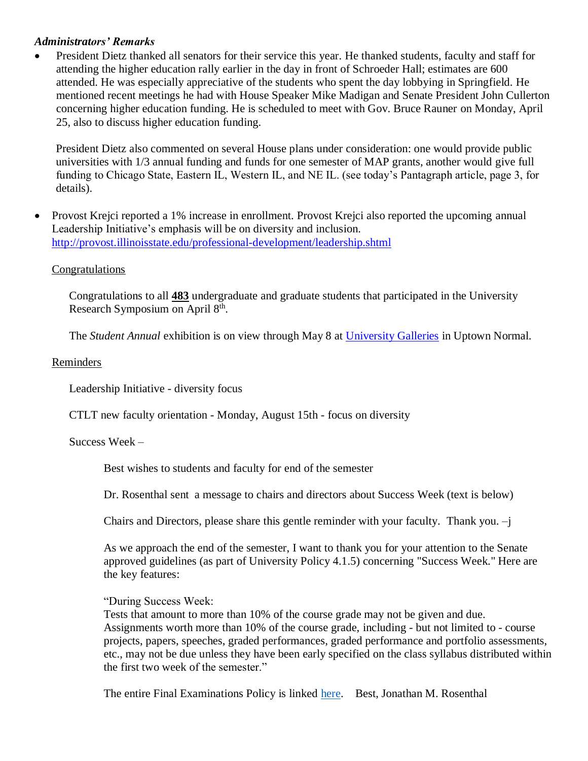#### *Administrators' Remarks*

• President Dietz thanked all senators for their service this year. He thanked students, faculty and staff for attending the higher education rally earlier in the day in front of Schroeder Hall; estimates are 600 attended. He was especially appreciative of the students who spent the day lobbying in Springfield. He mentioned recent meetings he had with House Speaker Mike Madigan and Senate President John Cullerton concerning higher education funding. He is scheduled to meet with Gov. Bruce Rauner on Monday, April 25, also to discuss higher education funding.

President Dietz also commented on several House plans under consideration: one would provide public universities with 1/3 annual funding and funds for one semester of MAP grants, another would give full funding to Chicago State, Eastern IL, Western IL, and NE IL. (see today's Pantagraph article, page 3, for details).

• Provost Krejci reported a 1% increase in enrollment. Provost Krejci also reported the upcoming annual Leadership Initiative's emphasis will be on diversity and inclusion. <http://provost.illinoisstate.edu/professional-development/leadership.shtml>

#### **Congratulations**

Congratulations to all **483** undergraduate and graduate students that participated in the University Research Symposium on April 8<sup>th</sup>.

The *Student Annual* exhibition is on view through May 8 at [University Galleries](http://finearts.illinoisstate.edu/galleries/) in Uptown Normal.

#### Reminders

Leadership Initiative - diversity focus

CTLT new faculty orientation - Monday, August 15th - focus on diversity

#### Success Week –

Best wishes to students and faculty for end of the semester

Dr. Rosenthal sent a message to chairs and directors about Success Week (text is below)

Chairs and Directors, please share this gentle reminder with your faculty. Thank you. –j

As we approach the end of the semester, I want to thank you for your attention to the Senate approved guidelines (as part of University Policy 4.1.5) concerning "Success Week." Here are the key features:

"During Success Week:

Tests that amount to more than 10% of the course grade may not be given and due. Assignments worth more than 10% of the course grade, including - but not limited to - course projects, papers, speeches, graded performances, graded performance and portfolio assessments, etc., may not be due unless they have been early specified on the class syllabus distributed within the first two week of the semester."

The entire Final Examinations Policy is linked [here.](http://policy.illinoisstate.edu/academic/4-1-5.shtml) Best, Jonathan M. Rosenthal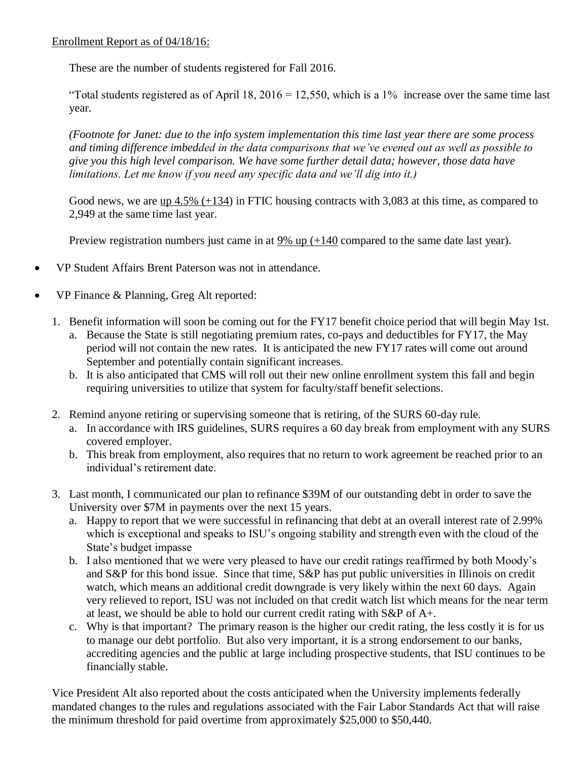#### Enrollment Report as of 04/18/16:

These are the number of students registered for Fall 2016.

"Total students registered as of April 18,  $2016 = 12,550$ , which is a 1% increase over the same time last year.

*(Footnote for Janet: due to the info system implementation this time last year there are some process and timing difference imbedded in the data comparisons that we've evened out as well as possible to give you this high level comparison. We have some further detail data; however, those data have limitations. Let me know if you need any specific data and we'll dig into it.)*

Good news, we are  $\mu$  4.5% (+134) in FTIC housing contracts with 3,083 at this time, as compared to 2,949 at the same time last year.

Preview registration numbers just came in at  $9\%$  up  $(+140)$  compared to the same date last year).

- VP Student Affairs Brent Paterson was not in attendance.
- VP Finance & Planning, Greg Alt reported:
	- 1. Benefit information will soon be coming out for the FY17 benefit choice period that will begin May 1st.
		- a. Because the State is still negotiating premium rates, co-pays and deductibles for FY17, the May period will not contain the new rates. It is anticipated the new FY17 rates will come out around September and potentially contain significant increases.
		- b. It is also anticipated that CMS will roll out their new online enrollment system this fall and begin requiring universities to utilize that system for faculty/staff benefit selections.
	- 2. Remind anyone retiring or supervising someone that is retiring, of the SURS 60-day rule.
		- a. In accordance with IRS guidelines, SURS requires a 60 day break from employment with any SURS covered employer.
		- b. This break from employment, also requires that no return to work agreement be reached prior to an individual's retirement date.
	- 3. Last month, I communicated our plan to refinance \$39M of our outstanding debt in order to save the University over \$7M in payments over the next 15 years.
		- a. Happy to report that we were successful in refinancing that debt at an overall interest rate of 2.99% which is exceptional and speaks to ISU's ongoing stability and strength even with the cloud of the State's budget impasse
		- b. I also mentioned that we were very pleased to have our credit ratings reaffirmed by both Moody's and S&P for this bond issue. Since that time, S&P has put public universities in Illinois on credit watch, which means an additional credit downgrade is very likely within the next 60 days. Again very relieved to report, ISU was not included on that credit watch list which means for the near term at least, we should be able to hold our current credit rating with S&P of A+.
		- c. Why is that important? The primary reason is the higher our credit rating, the less costly it is for us to manage our debt portfolio. But also very important, it is a strong endorsement to our banks, accrediting agencies and the public at large including prospective students, that ISU continues to be financially stable.

Vice President Alt also reported about the costs anticipated when the University implements federally mandated changes to the rules and regulations associated with the Fair Labor Standards Act that will raise the minimum threshold for paid overtime from approximately \$25,000 to \$50,440.